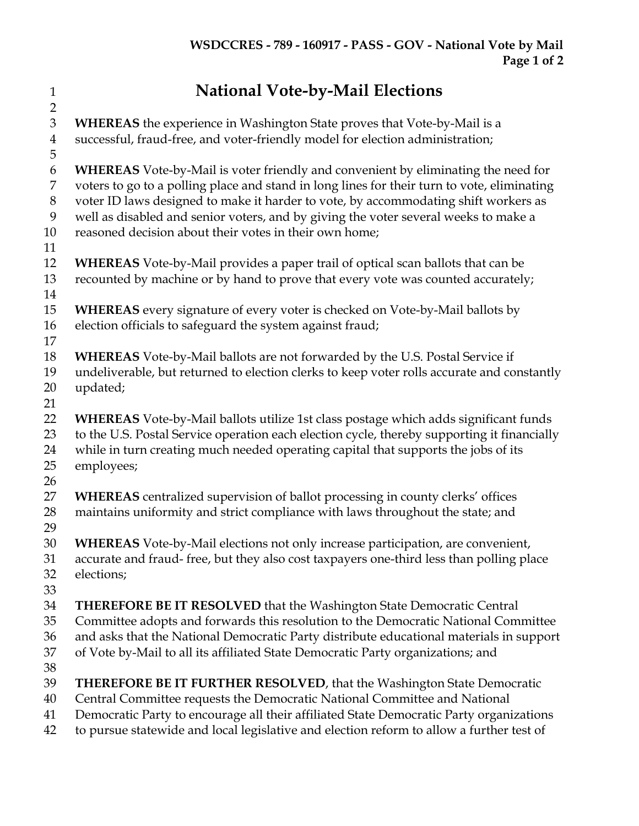**National Vote-by-Mail Elections WHEREAS** the experience in Washington State proves that Vote-by-Mail is a successful, fraud-free, and voter-friendly model for election administration; **WHEREAS** Vote-by-Mail is voter friendly and convenient by eliminating the need for voters to go to a polling place and stand in long lines for their turn to vote, eliminating voter ID laws designed to make it harder to vote, by accommodating shift workers as well as disabled and senior voters, and by giving the voter several weeks to make a reasoned decision about their votes in their own home; **WHEREAS** Vote-by-Mail provides a paper trail of optical scan ballots that can be recounted by machine or by hand to prove that every vote was counted accurately; **WHEREAS** every signature of every voter is checked on Vote-by-Mail ballots by election officials to safeguard the system against fraud; **WHEREAS** Vote-by-Mail ballots are not forwarded by the U.S. Postal Service if undeliverable, but returned to election clerks to keep voter rolls accurate and constantly updated; **WHEREAS** Vote-by-Mail ballots utilize 1st class postage which adds significant funds 23 to the U.S. Postal Service operation each election cycle, thereby supporting it financially while in turn creating much needed operating capital that supports the jobs of its employees; **WHEREAS** centralized supervision of ballot processing in county clerks' offices maintains uniformity and strict compliance with laws throughout the state; and **WHEREAS** Vote-by-Mail elections not only increase participation, are convenient, accurate and fraud- free, but they also cost taxpayers one-third less than polling place elections; **THEREFORE BE IT RESOLVED** that the Washington State Democratic Central Committee adopts and forwards this resolution to the Democratic National Committee and asks that the National Democratic Party distribute educational materials in support of Vote by-Mail to all its affiliated State Democratic Party organizations; and **THEREFORE BE IT FURTHER RESOLVED**, that the Washington State Democratic Central Committee requests the Democratic National Committee and National Democratic Party to encourage all their affiliated State Democratic Party organizations to pursue statewide and local legislative and election reform to allow a further test of